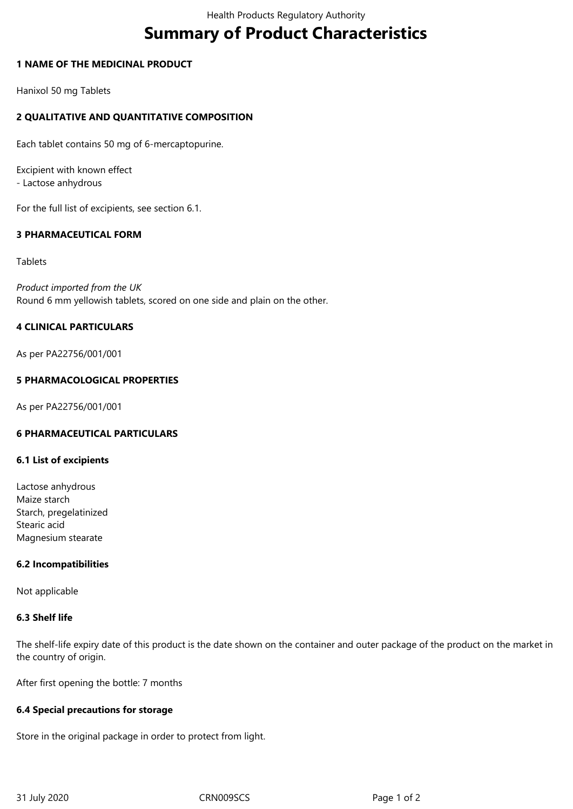# **Summary of Product Characteristics**

## **1 NAME OF THE MEDICINAL PRODUCT**

Hanixol 50 mg Tablets

# **2 QUALITATIVE AND QUANTITATIVE COMPOSITION**

Each tablet contains 50 mg of 6-mercaptopurine.

Excipient with known effect - Lactose anhydrous

For the full list of excipients, see section 6.1.

# **3 PHARMACEUTICAL FORM**

Tablets

*Product imported from the UK* Round 6 mm yellowish tablets, scored on one side and plain on the other.

# **4 CLINICAL PARTICULARS**

As per PA22756/001/001

## **5 PHARMACOLOGICAL PROPERTIES**

As per PA22756/001/001

# **6 PHARMACEUTICAL PARTICULARS**

#### **6.1 List of excipients**

Lactose anhydrous Maize starch Starch, pregelatinized Stearic acid Magnesium stearate

#### **6.2 Incompatibilities**

Not applicable

#### **6.3 Shelf life**

The shelf-life expiry date of this product is the date shown on the container and outer package of the product on the market in the country of origin.

After first opening the bottle: 7 months

#### **6.4 Special precautions for storage**

Store in the original package in order to protect from light.